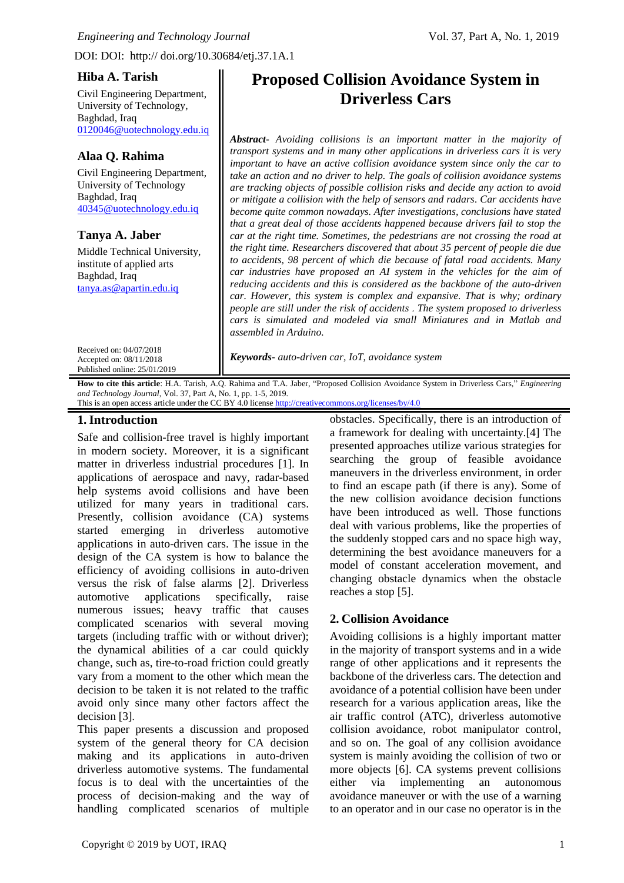DOI: DOI: http:// doi.org/10.30684/etj.37.1A.1

# **Hiba A. Tarish**

Civil Engineering Department, University of Technology, Baghdad, Iraq [0120046@uotechnology.edu.iq](mailto:0120046@uotechnology.edu.iq)

### **Alaa Q. Rahima**

Civil Engineering Department, University of Technology Baghdad, Iraq [40345@uotechnology.edu.iq](mailto:40345@uotechnology.edu.iq)

# **Tanya A. Jaber**

Middle Technical University, institute of applied arts Baghdad, Iraq [tanya.as@apartin.edu.iq](mailto:tanya.as@apartin.edu.iq)

Received on: 04/07/2018 Accepted on: 08/11/2018 Published online: 25/01/2019

# **Proposed Collision Avoidance System in Driverless Cars**

*Abstract- Avoiding collisions is an important matter in the majority of transport systems and in many other applications in driverless cars it is very important to have an active collision avoidance system since only the car to take an action and no driver to help. The goals of collision avoidance systems are tracking objects of possible collision risks and decide any action to avoid or mitigate a collision with the help of sensors and radars. Car accidents have become quite common nowadays. After investigations, conclusions have stated that a great deal of those accidents happened because drivers fail to stop the car at the right time. Sometimes, the pedestrians are not crossing the road at the right time. Researchers discovered that about 35 percent of people die due to accidents, 98 percent of which die because of fatal road accidents. Many car industries have proposed an AI system in the vehicles for the aim of reducing accidents and this is considered as the backbone of the auto-driven car. However, this system is complex and expansive. That is why; ordinary people are still under the risk of accidents* . *The system proposed to driverless cars is simulated and modeled via small Miniatures and in Matlab and assembled in Arduino.*

*Keywords- auto-driven car, IoT, avoidance system*

**How to cite this article**: H.A. Tarish, A.Q. Rahima and T.A. Jaber, "Proposed Collision Avoidance System in Driverless Cars," *Engineering and Technology Journal*, Vol. 37, Part A, No. 1, pp. 1-5, 2019. This is an open access article under the CC BY 4.0 license<http://creativecommons.org/licenses/by/4.0>

#### **1.Introduction**

Safe and collision-free travel is highly important in modern society. Moreover, it is a significant matter in driverless industrial procedures [1]. In applications of aerospace and navy, radar-based help systems avoid collisions and have been utilized for many years in traditional cars. Presently, collision avoidance (CA) systems started emerging in driverless automotive applications in auto-driven cars. The issue in the design of the CA system is how to balance the efficiency of avoiding collisions in auto-driven versus the risk of false alarms [2]. Driverless automotive applications specifically, raise numerous issues; heavy traffic that causes complicated scenarios with several moving targets (including traffic with or without driver); the dynamical abilities of a car could quickly change, such as, tire-to-road friction could greatly vary from a moment to the other which mean the decision to be taken it is not related to the traffic avoid only since many other factors affect the decision [3].

This paper presents a discussion and proposed system of the general theory for CA decision making and its applications in auto-driven driverless automotive systems. The fundamental focus is to deal with the uncertainties of the process of decision-making and the way of handling complicated scenarios of multiple obstacles. Specifically, there is an introduction of a framework for dealing with uncertainty.[4] The presented approaches utilize various strategies for searching the group of feasible avoidance maneuvers in the driverless environment, in order to find an escape path (if there is any). Some of the new collision avoidance decision functions have been introduced as well. Those functions deal with various problems, like the properties of the suddenly stopped cars and no space high way, determining the best avoidance maneuvers for a model of constant acceleration movement, and changing obstacle dynamics when the obstacle reaches a stop [5].

# **2. Collision Avoidance**

Avoiding collisions is a highly important matter in the majority of transport systems and in a wide range of other applications and it represents the backbone of the driverless cars. The detection and avoidance of a potential collision have been under research for a various application areas, like the air traffic control (ATC), driverless automotive collision avoidance, robot manipulator control, and so on. The goal of any collision avoidance system is mainly avoiding the collision of two or more objects [6]. CA systems prevent collisions either via implementing an autonomous avoidance maneuver or with the use of a warning to an operator and in our case no operator is in the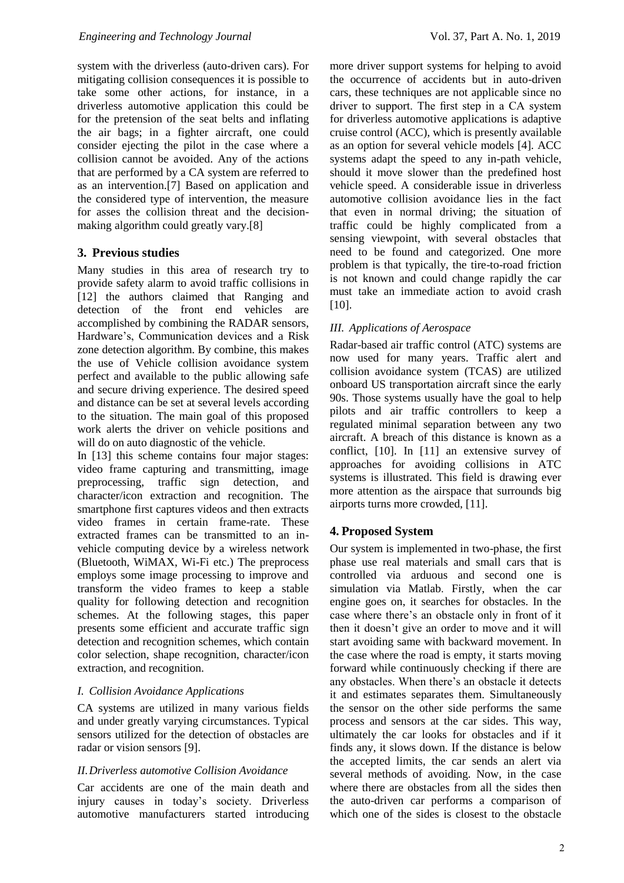system with the driverless (auto-driven cars). For mitigating collision consequences it is possible to take some other actions, for instance, in a driverless automotive application this could be for the pretension of the seat belts and inflating the air bags; in a fighter aircraft, one could consider ejecting the pilot in the case where a collision cannot be avoided. Any of the actions that are performed by a CA system are referred to as an intervention.[7] Based on application and the considered type of intervention, the measure for asses the collision threat and the decisionmaking algorithm could greatly vary.[8]

# **3. Previous studies**

Many studies in this area of research try to provide safety alarm to avoid traffic collisions in [12] the authors claimed that Ranging and detection of the front end vehicles are accomplished by combining the RADAR sensors, Hardware's, Communication devices and a Risk zone detection algorithm. By combine, this makes the use of Vehicle collision avoidance system perfect and available to the public allowing safe and secure driving experience. The desired speed and distance can be set at several levels according to the situation. The main goal of this proposed work alerts the driver on vehicle positions and will do on auto diagnostic of the vehicle.

In [13] this scheme contains four major stages: video frame capturing and transmitting, image preprocessing, traffic sign detection, and character/icon extraction and recognition. The smartphone first captures videos and then extracts video frames in certain frame-rate. These extracted frames can be transmitted to an invehicle computing device by a wireless network (Bluetooth, WiMAX, Wi-Fi etc.) The preprocess employs some image processing to improve and transform the video frames to keep a stable quality for following detection and recognition schemes. At the following stages, this paper presents some efficient and accurate traffic sign detection and recognition schemes, which contain color selection, shape recognition, character/icon extraction, and recognition.

# *I. Collision Avoidance Applications*

CA systems are utilized in many various fields and under greatly varying circumstances. Typical sensors utilized for the detection of obstacles are radar or vision sensors [9].

#### *II.Driverless automotive Collision Avoidance*

Car accidents are one of the main death and injury causes in today's society. Driverless automotive manufacturers started introducing more driver support systems for helping to avoid the occurrence of accidents but in auto-driven cars, these techniques are not applicable since no driver to support. The first step in a CA system for driverless automotive applications is adaptive cruise control (ACC), which is presently available as an option for several vehicle models [4]. ACC systems adapt the speed to any in-path vehicle, should it move slower than the predefined host vehicle speed. A considerable issue in driverless automotive collision avoidance lies in the fact that even in normal driving; the situation of traffic could be highly complicated from a sensing viewpoint, with several obstacles that need to be found and categorized. One more problem is that typically, the tire-to-road friction is not known and could change rapidly the car must take an immediate action to avoid crash [10].

# *III. Applications of Aerospace*

Radar-based air traffic control (ATC) systems are now used for many years. Traffic alert and collision avoidance system (TCAS) are utilized onboard US transportation aircraft since the early 90s. Those systems usually have the goal to help pilots and air traffic controllers to keep a regulated minimal separation between any two aircraft. A breach of this distance is known as a conflict, [10]. In [11] an extensive survey of approaches for avoiding collisions in ATC systems is illustrated. This field is drawing ever more attention as the airspace that surrounds big airports turns more crowded, [11].

# **4. Proposed System**

Our system is implemented in two-phase, the first phase use real materials and small cars that is controlled via arduous and second one is simulation via Matlab. Firstly, when the car engine goes on, it searches for obstacles. In the case where there's an obstacle only in front of it then it doesn't give an order to move and it will start avoiding same with backward movement. In the case where the road is empty, it starts moving forward while continuously checking if there are any obstacles. When there's an obstacle it detects it and estimates separates them. Simultaneously the sensor on the other side performs the same process and sensors at the car sides. This way, ultimately the car looks for obstacles and if it finds any, it slows down. If the distance is below the accepted limits, the car sends an alert via several methods of avoiding. Now, in the case where there are obstacles from all the sides then the auto-driven car performs a comparison of which one of the sides is closest to the obstacle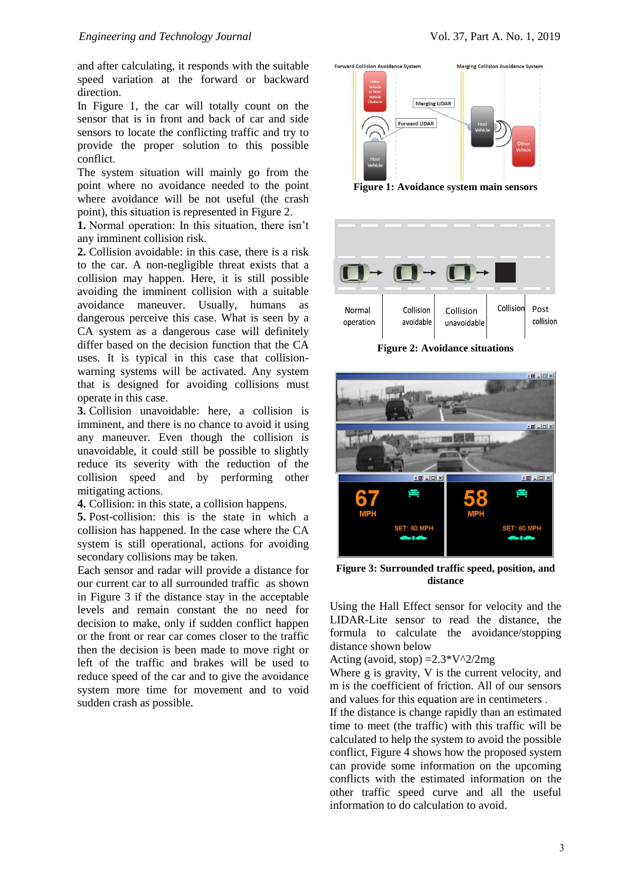and after calculating, it responds with the suitable speed variation at the forward or backward direction.

In Figure 1, the car will totally count on the sensor that is in front and back of car and side sensors to locate the conflicting traffic and try to provide the proper solution to this possible conflict.

The system situation will mainly go from the point where no avoidance needed to the point where avoidance will be not useful (the crash point), this situation is represented in Figure 2.

**1.** Normal operation: In this situation, there isn't any imminent collision risk.

**2.** Collision avoidable: in this case, there is a risk to the car. A non-negligible threat exists that a collision may happen. Here, it is still possible avoiding the imminent collision with a suitable avoidance maneuver. Usually, humans as dangerous perceive this case. What is seen by a CA system as a dangerous case will definitely differ based on the decision function that the CA uses. It is typical in this case that collisionwarning systems will be activated. Any system that is designed for avoiding collisions must operate in this case.

**3.** Collision unavoidable: here, a collision is imminent, and there is no chance to avoid it using any maneuver. Even though the collision is unavoidable, it could still be possible to slightly reduce its severity with the reduction of the collision speed and by performing other mitigating actions.

**4.** Collision: in this state, a collision happens.

**5.** Post-collision: this is the state in which a collision has happened. In the case where the CA system is still operational, actions for avoiding secondary collisions may be taken.

Each sensor and radar will provide a distance for our current car to all surrounded traffic as shown in Figure 3 if the distance stay in the acceptable levels and remain constant the no need for decision to make, only if sudden conflict happen or the front or rear car comes closer to the traffic then the decision is been made to move right or left of the traffic and brakes will be used to reduce speed of the car and to give the avoidance system more time for movement and to void sudden crash as possible.



**Figure 1: Avoidance system main sensors**



**Figure 2: Avoidance situations**



**Figure 3: Surrounded traffic speed, position, and distance**

Using the Hall Effect sensor for velocity and the LIDAR-Lite sensor to read the distance, the formula to calculate the avoidance/stopping distance shown below

Acting (avoid, stop)  $=2.3*V^2/2mg$ 

Where g is gravity, V is the current velocity, and m is the coefficient of friction. All of our sensors and values for this equation are in centimeters .

If the distance is change rapidly than an estimated time to meet (the traffic) with this traffic will be calculated to help the system to avoid the possible conflict, Figure  $\overline{4}$  shows how the proposed system can provide some information on the upcoming conflicts with the estimated information on the other traffic speed curve and all the useful information to do calculation to avoid.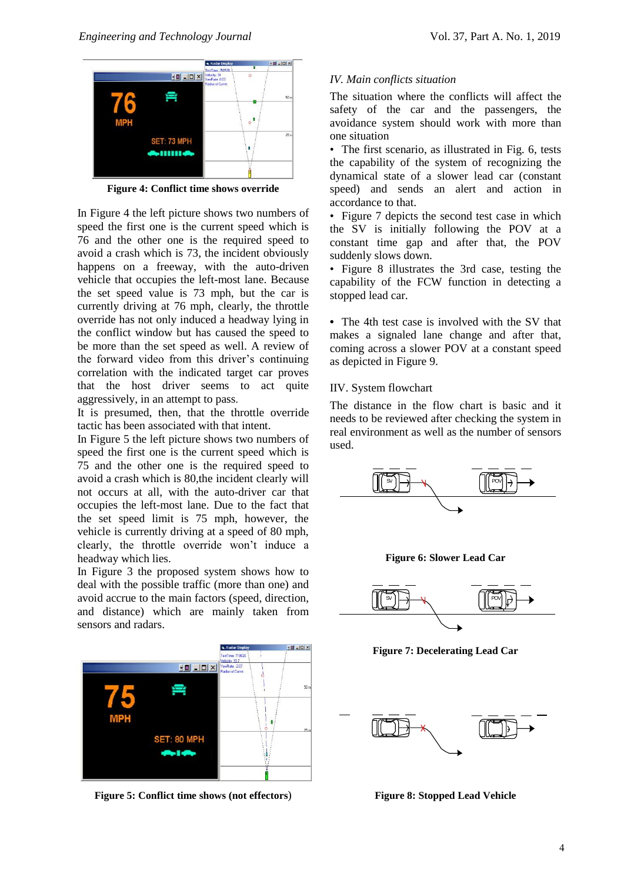

**Figure 4: Conflict time shows override**

In Figure 4 the left picture shows two numbers of speed the first one is the current speed which is 76 and the other one is the required speed to avoid a crash which is 73, the incident obviously happens on a freeway, with the auto-driven vehicle that occupies the left-most lane. Because the set speed value is 73 mph, but the car is currently driving at 76 mph, clearly, the throttle override has not only induced a headway lying in the conflict window but has caused the speed to be more than the set speed as well. A review of the forward video from this driver's continuing correlation with the indicated target car proves that the host driver seems to act quite aggressively, in an attempt to pass.

It is presumed, then, that the throttle override tactic has been associated with that intent.

In Figure 5 the left picture shows two numbers of speed the first one is the current speed which is 75 and the other one is the required speed to avoid a crash which is 80,the incident clearly will not occurs at all, with the auto-driver car that occupies the left-most lane. Due to the fact that the set speed limit is 75 mph, however, the vehicle is currently driving at a speed of 80 mph, clearly, the throttle override won't induce a headway which lies.

In Figure 3 the proposed system shows how to deal with the possible traffic (more than one) and avoid accrue to the main factors (speed, direction, and distance) which are mainly taken from sensors and radars.



**Figure 5: Conflict time shows (not effectors**)

#### *IV. Main conflicts situation*

The situation where the conflicts will affect the safety of the car and the passengers, the avoidance system should work with more than one situation

• The first scenario, as illustrated in Fig. 6, tests the capability of the system of recognizing the dynamical state of a slower lead car (constant speed) and sends an alert and action in accordance to that.

• Figure 7 depicts the second test case in which the SV is initially following the POV at a constant time gap and after that, the POV suddenly slows down.

• Figure 8 illustrates the 3rd case, testing the capability of the FCW function in detecting a stopped lead car.

**•** The 4th test case is involved with the SV that makes a signaled lane change and after that, coming across a slower POV at a constant speed as depicted in Figure 9.

#### IIV. System flowchart

The distance in the flow chart is basic and it needs to be reviewed after checking the system in real environment as well as the number of sensors used.



**Figure 6: Slower Lead Car**



**Figure 7: Decelerating Lead Car**



**Figure 8: Stopped Lead Vehicle**